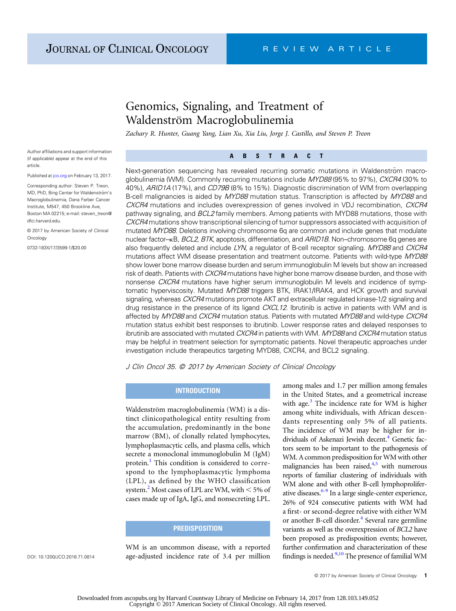# Genomics, Signaling, and Treatment of Waldenström Macroglobulinemia

Zachary R. Hunter, Guang Yang, Lian Xu, Xia Liu, Jorge J. Castillo, and Steven P. Treon

Author affiliations and support information (if applicable) appear at the end of this article.

Published at [jco.org](http://jco.org) on February 13, 2017.

Corresponding author: Steven P. Treon, MD, PhD, Bing Center for Waldenström's Macroglobulinemia, Dana Farber Cancer Institute, M547, 450 Brookline Ave, Boston MA 02215; e-mail: [steven\\_treon@](mailto:steven_treon@dfci.harvard.edu) [dfci.harvard.edu.](mailto:steven_treon@dfci.harvard.edu)

© 2017 by American Society of Clinical Oncology

0732-183X/17/3599-1/\$20.00

ABSTRACT AND A REPORT OF THE CONTRACT OF THE CONTRACT OF THE CONTRACT OF THE CONTRACT OF THE CONTRACT OF THE CONTRACT OF THE CONTRACT OF THE CONTRACT OF THE CONTRACT OF THE CONTRACT OF THE CONTRACT OF THE CONTRACT OF THE C

Next-generation sequencing has revealed recurring somatic mutations in Waldenstrom macroglobulinemia (WM). Commonly recurring mutations include MYD88 (95% to 97%), CXCR4 (30% to 40%), ARID1A (17%), and CD79B (8% to 15%). Diagnostic discrimination of WM from overlapping B-cell malignancies is aided by MYD88 mutation status. Transcription is affected by MYD88 and CXCR4 mutations and includes overexpression of genes involved in VDJ recombination, CXCR4 pathway signaling, and BCL2 family members. Among patients with MYD88 mutations, those with CXCR4 mutations show transcriptional silencing of tumor suppressors associated with acquisition of mutated MYD88. Deletions involving chromosome 6q are common and include genes that modulate nuclear factor–kB, BCL2, BTK, apoptosis, differentiation, and ARID1B. Non–chromosome 6q genes are also frequently deleted and include LYN, a regulator of B-cell receptor signaling. MYD88 and CXCR4 mutations affect WM disease presentation and treatment outcome. Patients with wild-type MYD88 show lower bone marrow disease burden and serum immunoglobulin M levels but show an increased risk of death. Patients with CXCR4 mutations have higher bone marrow disease burden, and those with nonsense CXCR4 mutations have higher serum immunoglobulin M levels and incidence of symptomatic hyperviscosity. Mutated MYD88 triggers BTK, IRAK1/IRAK4, and HCK growth and survival signaling, whereas CXCR4 mutations promote AKT and extracellular regulated kinase-1/2 signaling and drug resistance in the presence of its ligand CXCL12. Ibrutinib is active in patients with WM and is affected by MYD88 and CXCR4 mutation status. Patients with mutated MYD88 and wild-type CXCR4 mutation status exhibit best responses to ibrutinib. Lower response rates and delayed responses to ibrutinib are associated with mutated CXCR4 in patients with WM. MYD88 and CXCR4 mutation status may be helpful in treatment selection for symptomatic patients. Novel therapeutic approaches under investigation include therapeutics targeting MYD88, CXCR4, and BCL2 signaling.

J Clin Oncol 35. © 2017 by American Society of Clinical Oncology

# INTRODUCTION

Waldenström macroglobulinemia (WM) is a distinct clinicopathological entity resulting from the accumulation, predominantly in the bone marrow (BM), of clonally related lymphocytes, lymphoplasmacytic cells, and plasma cells, which secrete a monoclonal immunoglobulin M (IgM) protein.<sup>[1](#page-6-0)</sup> This condition is considered to correspond to the lymphoplasmacytic lymphoma (LPL), as defined by the WHO classification system.<sup>2</sup> Most cases of LPL are WM, with  $<$  5% of cases made up of IgA, IgG, and nonsecreting LPL.

# **PREDISPOSITION**

WM is an uncommon disease, with a reported age-adjusted incidence rate of 3.4 per million among males and 1.7 per million among females in the United States, and a geometrical increase with age. $3$  The incidence rate for WM is higher among white individuals, with African descendants representing only 5% of all patients. The incidence of WM may be higher for in-dividuals of Askenazi Jewish decent.<sup>[4](#page-6-0)</sup> Genetic factors seem to be important to the pathogenesis of WM. A common predisposition for WM with other malignancies has been raised, $4.5$  with numerous reports of familiar clustering of individuals with WM alone and with other B-cell lymphoproliferative diseases[.6-9](#page-6-0) In a large single-center experience, 26% of 924 consecutive patients with WM had a first- or second-degree relative with either WM or another B-cell disorder.<sup>[4](#page-6-0)</sup> Several rare germline variants as well as the overexpression of BCL2 have been proposed as predisposition events; however, further confirmation and characterization of these findings is needed. $9,10$  The presence of familial WM

DOI: [10.1200/JCO.2016.71.0814](http://ascopubs.org/doi/full/10.1200/JCO.2016.71.0814)

© 2017 by American Society of Clinical Oncology <sup>1</sup>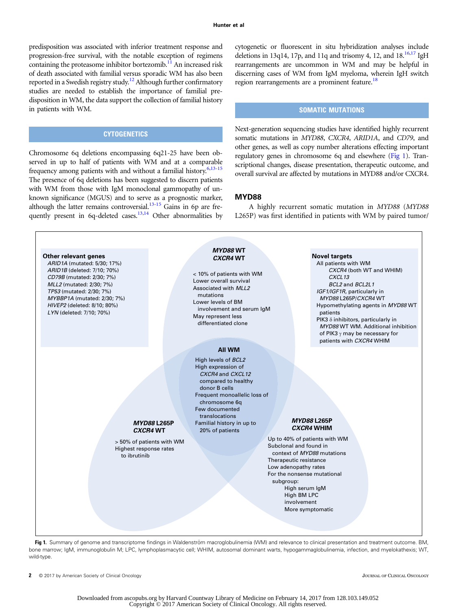<span id="page-1-0"></span>predisposition was associated with inferior treatment response and progression-free survival, with the notable exception of regimens containing the proteasome inhibitor bortezomib.<sup>[11](#page-6-0)</sup> An increased risk of death associated with familial versus sporadic WM has also been reported in a Swedish registry study.<sup>[12](#page-6-0)</sup> Although further confirmatory studies are needed to establish the importance of familial predisposition in WM, the data support the collection of familial history in patients with WM.

# CYTOGENETICS

Chromosome 6q deletions encompassing 6q21-25 have been observed in up to half of patients with WM and at a comparable frequency among patients with and without a familial history.<sup>6,13-15</sup> The presence of 6q deletions has been suggested to discern patients with WM from those with IgM monoclonal gammopathy of unknown significance (MGUS) and to serve as a prognostic marker, although the latter remains controversial. $13-15$  Gains in 6p are frequently present in 6q-deleted cases.<sup>13,14</sup> Other abnormalities by cytogenetic or fluorescent in situ hybridization analyses include deletions in 13q14, 17p, and 11q and trisomy 4, 12, and  $18^{16,17}$  $18^{16,17}$  $18^{16,17}$  IgH rearrangements are uncommon in WM and may be helpful in discerning cases of WM from IgM myeloma, wherein IgH switch region rearrangements are a prominent feature.<sup>18</sup>

### SOMATIC MUTATIONS

Next-generation sequencing studies have identified highly recurrent somatic mutations in MYD88, CXCR4, ARID1A, and CD79, and other genes, as well as copy number alterations effecting important regulatory genes in chromosome 6q and elsewhere (Fig 1). Transcriptional changes, disease presentation, therapeutic outcome, and overall survival are affected by mutations in MYD88 and/or CXCR4.

#### MYD88

A highly recurrent somatic mutation in MYD88 (MYD88 L265P) was first identified in patients with WM by paired tumor/



Fig 1. Summary of genome and transcriptome findings in Waldenström macroglobulinemia (WM) and relevance to clinical presentation and treatment outcome. BM, bone marrow; IgM, immunoglobulin M; LPC, lymphoplasmacytic cell; WHIM, autosomal dominant warts, hypogammaglobulinemia, infection, and myelokathexis; WT, wild-type.

2 © 2017 by American Society of Clinical Oncology **Society** of Clinical Oncology Journal OF CLINICAL OF CLINICAL ONCOLOGY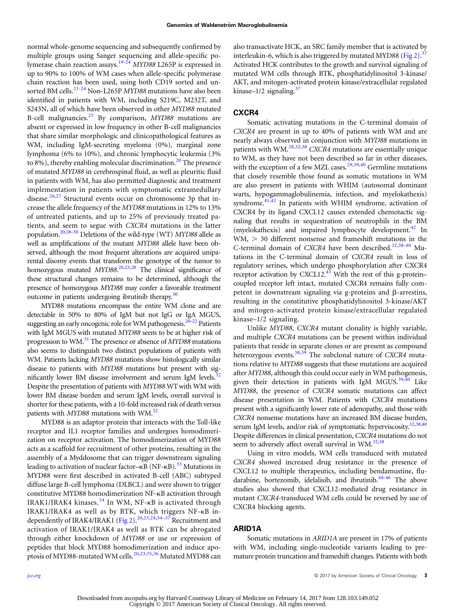normal whole-genome sequencing and subsequently confirmed by multiple groups using Sanger sequencing and allele-specific po-lymerase chain reaction assays.<sup>[19](#page-6-0)-[24](#page-6-0)</sup> MYD88 L265P is expressed in up to 90% to 100% of WM cases when allele-specific polymerase chain reaction has been used, using both CD19 sorted and un-sorted BM cells.<sup>[21-24](#page-6-0)</sup> Non-L265P MYD88 mutations have also been identified in patients with WM, including S219C, M232T, and S243N, all of which have been observed in other MYD88 mutated B-cell malignancies.<sup>[25](#page-6-0)</sup> By comparison, MYD88 mutations are absent or expressed in low frequency in other B-cell malignancies that share similar morphologic and clinicopathological features as WM, including IgM-secreting myeloma (0%), marginal zone lymphoma (6% to 10%), and chronic lymphocytic leukemia (3% to 8%), thereby enabling molecular discrimination.<sup>[20](#page-6-0)</sup> The presence of mutated MYD88 in cerebrospinal fluid, as well as pleuritic fluid in patients with WM, has also permitted diagnostic and treatment implementation in patients with symptomatic extramedullary disease.<sup>[26,27](#page-6-0)</sup> Structural events occur on chromosome 3p that increase the allele frequency of the MYD88 mutations in 12% to 13% of untreated patients, and up to 25% of previously treated patients, and seem to segue with CXCR4 mutations in the latter population.<sup>20,28-30</sup> Deletions of the wild-type (WT) MYD88 allele as well as amplifications of the mutant MYD88 allele have been observed, although the most frequent alterations are acquired uniparental disomy events that transform the genotype of the tumor to homozygous mutated MYD88.<sup>[20,23,28](#page-6-0)</sup> The clinical significance of these structural changes remains to be determined, although the presence of homozygous MYD88 may confer a favorable treatment outcome in patients undergoing ibrutinib therapy. $30$ 

MYD88 mutations encompass the entire WM clone and are detectable in 50% to 80% of IgM but not IgG or IgA MGUS, suggesting an early oncogenic role for WM pathogenesis.<sup>[20](#page-6-0)-[22](#page-6-0)</sup> Patients with IgM MGUS with mutated MYD88 seem to be at higher risk of progression to WM.<sup>[31](#page-6-0)</sup> The presence or absence of MYD88 mutations also seems to distinguish two distinct populations of patients with WM. Patients lacking MYD88 mutations show histologically similar disease to patients with MYD88 mutations but present with significantly lower BM disease involvement and serum IgM levels.<sup>3</sup> Despite the presentation of patients with MYD88 WT with WM with lower BM disease burden and serum IgM levels, overall survival is shorter for these patients, with a 10-fold increased risk of death versus patients with  $MYD88$  mutations with WM. $^{32}$ 

MYD88 is an adaptor protein that interacts with the Toll-like receptor and IL1 receptor families and undergoes homodimerization on receptor activation. The homodimerization of MYD88 acts as a scaffold for recruitment of other proteins, resulting in the assembly of a Myddosome that can trigger downstream signaling leading to activation of nuclear factor– $\kappa B(NF-\kappa B)$ .<sup>33</sup> Mutations in MYD88 were first described in activated B-cell (ABC) subtyped diffuse large B-cell lymphoma (DLBCL) and were shown to trigger constitutive MYD88 homodimerization NF-kB activation through IRAK1/IRAK4 kinases.<sup>[34](#page-6-0)</sup> In WM, NF- $\kappa$ B is activated through IRAK1/IRAK4 as well as by BTK, which triggers NF-kB in-dependently of IRAK4/IRAK1 [\(Fig 2](#page-3-0)).<sup>[20,23](#page-6-0),[24,34](#page-6-0)–[37](#page-6-0)</sup> Recruitment and activation of IRAK1/IRAK4 as well as BTK can be abrogated through either knockdown of MYD88 or use or expression of peptides that block MYD88 homodimerization and induce apoptosis of MYD88-mutated WM cells.[20,23,35,36](#page-6-0) Mutated MYD88 can also transactivate HCK, an SRC family member that is activated by interleukin-6, which is also triggered by mutated MYD88 [\(Fig 2](#page-3-0)).<sup>[37](#page-6-0)</sup> Activated HCK contributes to the growth and survival signaling of mutated WM cells through BTK, phosphatidylinositol 3-kinase/ AKT, and mitogen-activated protein kinase/extracellular regulated kinase–1/2 signaling. $37$ 

## CXCR4

Somatic activating mutations in the C-terminal domain of CXCR4 are present in up to 40% of patients with WM and are nearly always observed in conjunction with MYD88 mutations in patients with WM[.28](#page-6-0),[32,38](#page-6-0) CXCR4 mutations are essentially unique to WM, as they have not been described so far in other diseases, with the exception of a few MZL cases.<sup>29,[39,40](#page-6-0)</sup> Germline mutations that closely resemble those found as somatic mutations in WM are also present in patients with WHIM (autosomal dominant warts, hypogammaglobulinemia, infection, and myelokathexis) syndrome. $41,42$  $41,42$  In patients with WHIM syndrome, activation of CXCR4 by its ligand CXCL12 causes extended chemotactic signaling that results in sequestration of neutrophils in the BM (myelokathexis) and impaired lymphocyte development.<sup>[42](#page-7-0)</sup> In  $WM, > 30$  different nonsense and frameshift mutations in the C-terminal domain of CXCR4 have been described.<sup>[32,38-40](#page-6-0)</sup> Mutations in the C-terminal domain of CXCR4 result in loss of regulatory serines, which undergo phosphorylation after CXCR4 receptor activation by CXCL12. $43$  With the rest of this g-protein– coupled receptor left intact, mutated CXCR4 remains fully competent in downstream signaling via g-proteins and  $\beta$ -arrestins, resulting in the constitutive phosphatidylinositol 3-kinase/AKT and mitogen-activated protein kinase/extracellular regulated kinase–1/2 signaling.

Unlike MYD88, CXCR4 mutant clonality is highly variable, and multiple CXCR4 mutations can be present within individual patients that reside in separate clones or are present as compound heterozygous events.<sup>[38,39](#page-6-0)</sup> The subclonal nature of CXCR4 mutations relative to MYD88 suggests that these mutations are acquired after MYD88, although this could occur early in WM pathogenesis, given their detection in patients with IgM MGUS. $39,40$  Like MYD88, the presence of CXCR4 somatic mutations can affect disease presentation in WM. Patients with CXCR4 mutations present with a significantly lower rate of adenopathy, and those with CXCR4 nonsense mutations have an increased BM disease burden, serum IgM levels, and/or risk of symptomatic hyperviscosity.<sup>32,38,40</sup> Despite differences in clinical presentation, CXCR4 mutations do not seem to adversely affect overall survival in  $WM^{32,38}$ .

Using in vitro models, WM cells transduced with mutated CXCR4 showed increased drug resistance in the presence of CXCL12 to multiple therapeutics, including bendamustine, flu-darabine, bortezomib, idelalisib, and ibrutinib.<sup>[44](#page-7-0)-[46](#page-7-0)</sup> The above studies also showed that CXCL12-mediated drug resistance in mutant CXCR4-transduced WM cells could be reversed by use of CXCR4 blocking agents.

# ARID1A

Somatic mutations in ARID1A are present in 17% of patients with WM, including single-nucleotide variants leading to premature protein truncation and frameshift changes. Patients with both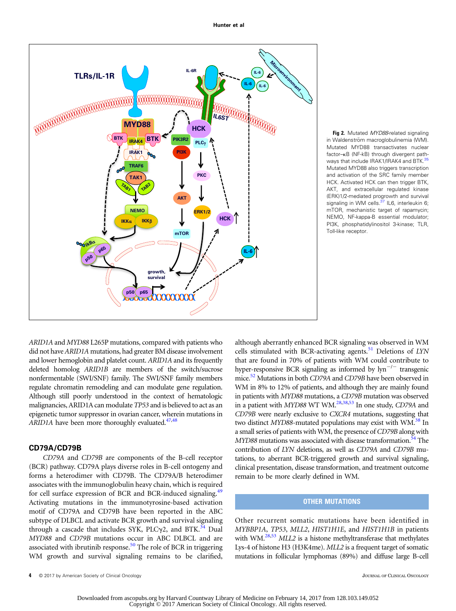<span id="page-3-0"></span>

Fig 2. Mutated MYD88-related signaling in Waldenström macroglobulinemia (WM). Mutated MYD88 transactivates nuclear factor–kB (NF-kB) through divergent path-ways that include IRAK1/IRAK4 and BTK.<sup>[35](#page-6-0)</sup> Mutated MYD88 also triggers transcription and activation of the SRC family member HCK. Activated HCK can then trigger BTK, AKT, and extracellular regulated kinase (ERK)1/2-mediated progrowth and survival signaling in WM cells. $37$  IL6, interleukin 6; mTOR, mechanistic target of rapamycin; NEMO, NF-kappa-B essential modulator; PI3K, phosphatidylinositol 3-kinase; TLR, Toll-like receptor.

ARID1A and MYD88 L265P mutations, compared with patients who did not have ARID1A mutations, had greater BM disease involvement and lower hemoglobin and platelet count. ARID1A and its frequently deleted homolog ARID1B are members of the switch/sucrose nonfermentable (SWI/SNF) family. The SWI/SNF family members regulate chromatin remodeling and can modulate gene regulation. Although still poorly understood in the context of hematologic malignancies, ARID1A can modulate TP53 and is believed to act as an epigenetic tumor suppressor in ovarian cancer, wherein mutations in ARID1A have been more thoroughly evaluated. $47,48$ 

## CD79A/CD79B

CD79A and CD79B are components of the B-cell receptor (BCR) pathway. CD79A plays diverse roles in B-cell ontogeny and forms a heterodimer with CD79B. The CD79A/B heterodimer associates with the immunoglobulin heavy chain, which is required for cell surface expression of BCR and BCR-induced signaling.<sup>[49](#page-7-0)</sup> Activating mutations in the immunotyrosine-based activation motif of CD79A and CD79B have been reported in the ABC subtype of DLBCL and activate BCR growth and survival signaling through a cascade that includes SYK, PLC $\gamma$ 2, and BTK.<sup>[34](#page-6-0)</sup> Dual MYD88 and CD79B mutations occur in ABC DLBCL and are associated with ibrutinib response.<sup>[50](#page-7-0)</sup> The role of BCR in triggering WM growth and survival signaling remains to be clarified, although aberrantly enhanced BCR signaling was observed in WM cells stimulated with BCR-activating agents.<sup>[51](#page-7-0)</sup> Deletions of  $LYN$ that are found in 70% of patients with WM could contribute to hyper-responsive BCR signaling as informed by  $\text{lyn}^{-/-}$  transgenic mice.<sup>52</sup> Mutations in both CD79A and CD79B have been observed in WM in 8% to 12% of patients, and although they are mainly found in patients with MYD88 mutations, a CD79B mutation was observed in a patient with MYD88 WT WM.<sup>28,[38](#page-6-0),[53](#page-7-0)</sup> In one study, CD79A and CD79B were nearly exclusive to CXCR4 mutations, suggesting that two distinct MYD88-mutated populations may exist with WM.<sup>[38](#page-6-0)</sup> In a small series of patients with WM, the presence of CD79B along with MYD88 mutations was associated with disease transformation.<sup>54</sup> The contribution of LYN deletions, as well as CD79A and CD79B mutations, to aberrant BCR-triggered growth and survival signaling, clinical presentation, disease transformation, and treatment outcome remain to be more clearly defined in WM.

# OTHER MUTATIONS

Other recurrent somatic mutations have been identified in MYBBP1A, TP53, MLL2, HIST1H1E, and HIST1H1B in patients with WM. $^{28,53}$  $^{28,53}$  $^{28,53}$  MLL2 is a histone methyltransferase that methylates Lys-4 of histone H3 (H3K4me). MLL2 is a frequent target of somatic mutations in follicular lymphomas (89%) and diffuse large B-cell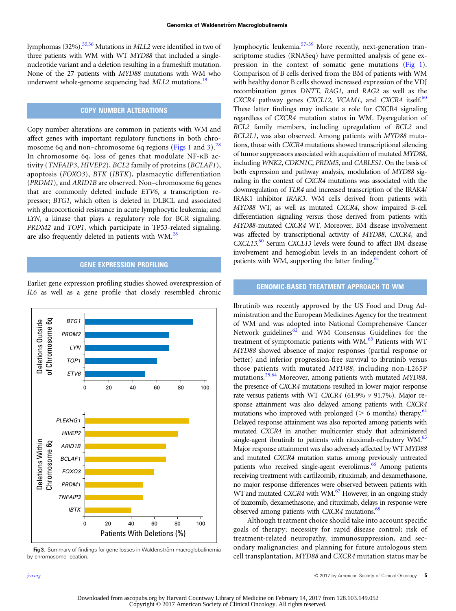lymphomas (32%).<sup>55,56</sup> Mutations in *MLL2* were identified in two of three patients with WM with WT MYD88 that included a singlenucleotide variant and a deletion resulting in a frameshift mutation. None of the 27 patients with MYD88 mutations with WM who underwent whole-genome sequencing had MLL2 mutations.<sup>19</sup>

# COPY NUMBER ALTERATIONS

Copy number alterations are common in patients with WM and affect genes with important regulatory functions in both chro-mosome 6q and non–chromosome 6q regions ([Figs 1](#page-1-0) and 3).<sup>[28](#page-6-0)</sup> In chromosome 6q, loss of genes that modulate NF-kB activity (TNFAIP3, HIVEP2), BCL2 family of proteins (BCLAF1), apoptosis (FOXO3), BTK (IBTK), plasmacytic differentiation (PRDM1), and ARID1B are observed. Non–chromosome 6q genes that are commonly deleted include ETV6, a transcription repressor; BTG1, which often is deleted in DLBCL and associated with glucocorticoid resistance in acute lymphocytic leukemia; and LYN, a kinase that plays a regulatory role for BCR signaling. PRDM2 and TOP1, which participate in TP53-related signaling, are also frequently deleted in patients with  $WM^{28}$ .

### GENE EXPRESSION PROFILING

Earlier gene expression profiling studies showed overexpression of IL6 as well as a gene profile that closely resembled chronic



Fig 3. Summary of findings for gene losses in Waldenström macroglobulinemia by chromosome location.

lymphocytic leukemia.<sup>[57-59](#page-7-0)</sup> More recently, next-generation transcriptome studies (RNASeq) have permitted analysis of gene expression in the context of somatic gene mutations [\(Fig 1](#page-1-0)). Comparison of B cells derived from the BM of patients with WM with healthy donor B cells showed increased expression of the VDJ recombination genes DNTT, RAG1, and RAG2 as well as the CXCR4 pathway genes CXCL12, VCAM1, and CXCR4 itself.<sup>[60](#page-7-0)</sup> These latter findings may indicate a role for CXCR4 signaling regardless of CXCR4 mutation status in WM. Dysregulation of BCL2 family members, including upregulation of BCL2 and BCL2L1, was also observed. Among patients with MYD88 mutations, those with CXCR4 mutations showed transcriptional silencing of tumor suppressors associated with acquisition of mutated MYD88, including WNK2, CDKN1C, PRDM5, and CABLES1. On the basis of both expression and pathway analysis, modulation of MYD88 signaling in the context of CXCR4 mutations was associated with the downregulation of TLR4 and increased transcription of the IRAK4/ IRAK1 inhibitor IRAK3. WM cells derived from patients with MYD88 WT, as well as mutated CXCR4, show impaired B-cell differentiation signaling versus those derived from patients with MYD88-mutated CXCR4 WT. Moreover, BM disease involvement was affected by transcriptional activity of MYD88, CXCR4, and CXCL13.<sup>[60](#page-7-0)</sup> Serum CXCL13 levels were found to affect BM disease involvement and hemoglobin levels in an independent cohort of patients with WM, supporting the latter finding. $61$ 

# GENOMIC-BASED TREATMENT APPROACH TO WM

Ibrutinib was recently approved by the US Food and Drug Administration and the European Medicines Agency for the treatment of WM and was adopted into National Comprehensive Cancer Network guidelines $62$  and WM Consensus Guidelines for the treatment of symptomatic patients with WM.<sup>[63](#page-7-0)</sup> Patients with WT MYD88 showed absence of major responses (partial response or better) and inferior progression-free survival to ibrutinib versus those patients with mutated MYD88, including non-L265P mutations.<sup>[25](#page-6-0)[,64](#page-7-0)</sup> Moreover, among patients with mutated MYD88, the presence of CXCR4 mutations resulted in lower major response rate versus patients with WT CXCR4 (61.9%  $\nu$  91.7%). Major response attainment was also delayed among patients with CXCR4 mutations who improved with prolonged ( $> 6$  months) therapy.<sup>64</sup> Delayed response attainment was also reported among patients with mutated CXCR4 in another multicenter study that administered single-agent ibrutinib to patients with rituximab-refractory WM.<sup>65</sup> Major response attainment was also adversely affected by WT MYD88 and mutated CXCR4 mutation status among previously untreated patients who received single-agent everolimus.<sup>66</sup> Among patients receiving treatment with carfilzomib, rituximab, and dexamethasone, no major response differences were observed between patients with WT and mutated CXCR4 with WM.<sup>67</sup> However, in an ongoing study of ixazomib, dexamethasone, and rituximab, delays in response were observed among patients with CXCR4 mutations.<sup>68</sup>

Although treatment choice should take into account specific goals of therapy; necessity for rapid disease control; risk of treatment-related neuropathy, immunosuppression, and secondary malignancies; and planning for future autologous stem cell transplantation, MYD88 and CXCR4 mutation status may be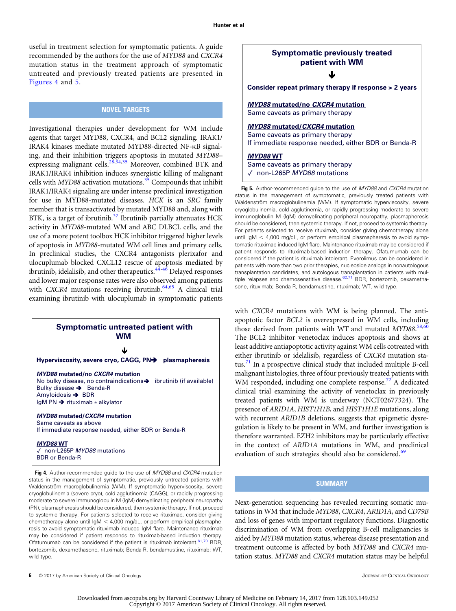useful in treatment selection for symptomatic patients. A guide recommended by the authors for the use of MYD88 and CXCR4 mutation status in the treatment approach of symptomatic untreated and previously treated patients are presented in Figures 4 and 5.

#### NOVEL TARGETS

Investigational therapies under development for WM include agents that target MYD88, CXCR4, and BCL2 signaling. IRAK1/ IRAK4 kinases mediate mutated MYD88-directed NF-kB signaling, and their inhibition triggers apoptosis in mutated MYD88– expressing malignant cells.<sup>[28,34](#page-6-0),[35](#page-6-0)</sup> Moreover, combined BTK and IRAK1/IRAK4 inhibition induces synergistic killing of malignant cells with  $MYD88$  activation mutations.<sup>[35](#page-6-0)</sup> Compounds that inhibit IRAK1/IRAK4 signaling are under intense preclinical investigation for use in MYD88-mutated diseases. HCK is an SRC family member that is transactivated by mutated MYD88 and, along with BTK, is a target of ibrutinib.<sup>[37](#page-6-0)</sup> Ibrutinib partially attenuates HCK activity in MYD88-mutated WM and ABC DLBCL cells, and the use of a more potent toolbox HCK inhibitor triggered higher levels of apoptosis in MYD88-mutated WM cell lines and primary cells. In preclinical studies, the CXCR4 antagonists plerixafor and ulocuplumab blocked CXCL12 rescue of apoptosis mediated by ibrutinib, idelalisib, and other therapeutics. $44-46$  Delayed responses and lower major response rates were also observed among patients with CXCR4 mutations receiving ibrutinib. $64,65$  $64,65$  $64,65$  A clinical trial examining ibrutinib with ulocuplumab in symptomatic patients



Waldenström macroglobulinemia (WM). If symptomatic hyperviscosity, severe cryoglobulinemia (severe cryo), cold agglutinemia (CAGG), or rapidly progressing moderate to severe immunoglobulin M (IgM) demyelinating peripheral neuropathy (PN), plasmapheresis should be considered, then systemic therapy. If not, proceed to systemic therapy. For patients selected to receive rituximab, consider giving chemotherapy alone until  $IgM < 4,000$  mg/dL, or perform empirical plasmapheresis to avoid symptomatic rituximab-induced IgM flare. Maintenance rituximab may be considered if patient responds to rituximab-based induction therapy. Ofatumumab can be considered if the patient is rituximab intolerant. $61,70$  $61,70$  $61,70$  BDR, bortezomib, dexamethasone, rituximab; Benda-R, bendamustine, rituximab; WT, wild type.

# **Symptomatic previously treated patient with WM**

**Consider repeat primary therapy if response > 2 years**

*MYD88* **mutated/no** *CXCR4* **mutation** Same caveats as primary therapy

*MYD88* **mutated/***CXCR4* **mutation** Same caveats as primary therapy If immediate response needed, either BDR or Benda-R

### *MYD88* **WT**

Same caveats as primary therapy

non-L265P *MYD88* mutations

Fig 5. Author-recommended guide to the use of MYD88 and CXCR4 mutation status in the management of symptomatic, previously treated patients with Waldenström macroglobulinemia (WM). If symptomatic hyperviscosity, severe cryoglobulinemia, cold agglutinemia, or rapidly progressing moderate to severe immunoglobulin M (IgM) demyelinating peripheral neuropathy, plasmapheresis should be considered, then systemic therapy. If not, proceed to systemic therapy. For patients selected to receive rituximab, consider giving chemotherapy alone until IgM  $<$  4,000 mg/dL, or perform empirical plasmapheresis to avoid symptomatic rituximab-induced IgM flare. Maintenance rituximab may be considered if patient responds to rituximab-based induction therapy. Ofatumumab can be considered if the patient is rituximab intolerant. Everolimus can be considered in patients with more than two prior therapies, nucleoside analogs in nonautologous transplantation candidates, and autologous transplantation in patients with multiple relapses and chemosenstitive disease. $62,71$  $62,71$  $62,71$  BDR, bortezomib, dexamethasone, rituximab; Benda-R, bendamustine, rituximab; WT, wild type.

with CXCR4 mutations with WM is being planned. The antiapoptotic factor BCL2 is overexpressed in WM cells, including those derived from patients with WT and mutated MYD88.<sup>[58,60](#page-7-0)</sup> The BCL2 inhibitor venetoclax induces apoptosis and shows at least additive antiapoptotic activity against WM cells cotreated with either ibrutinib or idelalisib, regardless of CXCR4 mutation status. $\frac{71}{1}$  In a prospective clinical study that included multiple B-cell malignant histologies, three of four previously treated patients with WM responded, including one complete response.<sup>[72](#page-7-0)</sup> A dedicated clinical trial examining the activity of venetoclax in previously treated patients with WM is underway (NCT02677324). The presence of ARID1A, HIST1H1B, and HIST1H1E mutations, along with recurrent ARID1B deletions, suggests that epigenetic dysregulation is likely to be present in WM, and further investigation is therefore warranted. EZH2 inhibitors may be particularly effective in the context of ARID1A mutations in WM, and preclinical evaluation of such strategies should also be considered.<sup>[69](#page-7-0)</sup>

# SUMMARY

Next-generation sequencing has revealed recurring somatic mutations in WM that include MYD88, CXCR4, ARID1A, and CD79B and loss of genes with important regulatory functions. Diagnostic discrimination of WM from overlapping B-cell malignancies is aided by MYD88 mutation status, whereas disease presentation and treatment outcome is affected by both MYD88 and CXCR4 mutation status. MYD88 and CXCR4 mutation status may be helpful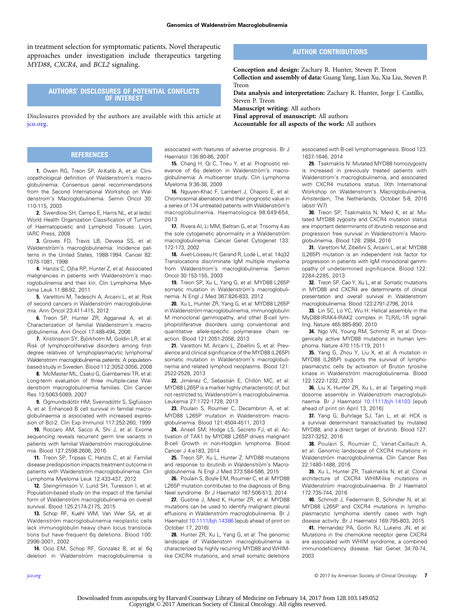<span id="page-6-0"></span>in treatment selection for symptomatic patients. Novel therapeutic approaches under investigation include therapeutics targeting MYD88, CXCR4, and BCL2 signaling.

# AUTHORS' DISCLOSURES OF POTENTIAL CONFLICTS OF INTEREST

Disclosures provided by the authors are available with this article at [jco.org.](http://jco.org)

#### **REFERENCES**

1. Owen RG, Treon SP, Al-Katib A, et al: Clinicopathological definition of Waldenstrom's macroglobulinemia: Consensus panel recommendations from the Second International Workshop on Waldenstrom's Macroglobulinemia. Semin Oncol 30: 110-115, 2003

2. Swerdlow SH, Campo E, Harris NL, et al (eds): World Health Organization Classification of Tumors of Haematopoietic and Lymphoid Tissues. Lyon, IARC Press, 2008

3. Groves FD, Travis LB, Devesa SS, et al: Waldenström's macroglobulinemia: Incidence patterns in the United States, 1988-1994. Cancer 82: 1078-1081, 1998

4. Hanzis C, Ojha RP, Hunter Z, et al: Associated malignancies in patients with Waldenström's macroglobulinemia and their kin. Clin Lymphoma Myeloma Leuk 11:88-92, 2011

5. Varettoni M, Tedeschi A, Arcaini L, et al: Risk of second cancers in Waldenström macroglobulinemia. Ann Oncol 23:411-415, 2012

6. Treon SP, Hunter ZR, Aggarwal A, et al: Characterization of familial Waldenstrom's macroglobulinemia. Ann Oncol 17:488-494, 2006

7. Kristinsson SY, Biörkholm M, Goldin LR, et al: Risk of lymphoproliferative disorders among firstdegree relatives of lymphoplasmacytic lymphoma/ Waldenstrom macroglobulinemia patients: A populationbased study in Sweden. Blood 112:3052-3056, 2008

8. McMaster ML, Csako G, Giambarresi TR, et al: Long-term evaluation of three multiple-case Waldenstrom macroglobulinemia families. Clin Cancer Res 13:5063-5069, 2007

9. Ogmundsdóttir HM, Sveinsdóttir S, Sigfússon A, et al: Enhanced B cell survival in familial macroglobulinaemia is associated with increased expression of Bcl-2. Clin Exp Immunol 117:252-260, 1999

10. Roccaro AM, Sacco A, Shi J, et al: Exome sequencing reveals recurrent germ line variants in patients with familial Waldenström macroglobulinemia. Blood 127:2598-2606, 2016

11. Treon SP, Tripsas C, Hanzis C, et al: Familial disease predisposition impacts treatment outcome in patients with Waldenström macroglobulinemia. Clin Lymphoma Myeloma Leuk 12:433-437, 2012

12. Steingrímsson V, Lund SH, Turesson I, et al: Population-based study on the impact of the familial form of Waldenström macroglobulinemia on overall survival. Blood 125:2174-2175, 2015

13. Schop RF, Kuehl WM, Van Wier SA, et al: Waldenström macroglobulinemia neoplastic cells lack immunoglobulin heavy chain locus translocations but have frequent 6q deletions. Blood 100: 2996-3001, 2002

14. Ocio EM, Schop RF, Gonzalez B, et al: 6q deletion in Waldenström macroglobulinemia is

associated with features of adverse prognosis. Br J Haematol 136:80-86, 2007

15. Chang H, Qi C, Trieu Y, et al: Prognostic relevance of 6q deletion in Waldenström's macroglobulinemia: A multicenter study. Clin Lymphoma Myeloma 9:36-38, 2009

16. Nguyen-Khac F, Lambert J, Chapiro E, et al: Chromosomal aberrations and their prognostic value in a series of 174 untreated patients with Waldenström's macroglobulinemia. Haematologica 98:649-654, 2013

17. Rivera AI, Li MM, Beltran G, et al: Trisomy 4 as the sole cytogenetic abnormality in a Waldenström macroglobulinemia. Cancer Genet Cytogenet 133: 172-173, 2002

18. Avet-Loiseau H, Garand R, Lodé L, et al: 14q32 Translocations discriminate IgM multiple myeloma from Waldenstrom's macroglobulinemia. Semin Oncol 30:153-155, 2003

19. Treon SP, Xu L, Yang G, et al: MYD88 L265P somatic mutation in Waldenström's macroglobulinemia. N Engl J Med 367:826-833, 2012

20. Xu L, Hunter ZR, Yang G, et al: MYD88 L265P in Waldenström macroglobulinemia, immunoglobulin M monoclonal gammopathy, and other B-cell lymphoproliferative disorders using conventional and quantitative allele-specific polymerase chain reaction. Blood 121:2051-2058, 2013

21. Varettoni M, Arcaini L, Zibellini S, et al: Prevalence and clinical significance of the MYD88 (L265P) somatic mutation in Waldenstrom's macroglobulinemia and related lymphoid neoplasms. Blood 121: 2522-2528, 2013

22. Jiménez C, Sebastián E, Chillón MC, et al: MYD88 L265P is a marker highly characteristic of, but not restricted to, Waldenström's macroglobulinemia. Leukemia 27:1722-1728, 2013

23. Poulain S, Roumier C, Decambron A, et al: MYD88 L265P mutation in Waldenstrom macroglobulinemia. Blood 121:4504-4511, 2013

24. Ansell SM, Hodge LS, Secreto FJ, et al: Activation of TAK1 by MYD88 L265P drives malignant B-cell Growth in non-Hodgkin lymphoma. Blood Cancer J 4:e183, 2014

25. Treon SP, Xu L, Hunter Z: MYD88 mutations and response to ibrutinib in Waldenström's Macroglobulinemia. N Engl J Med 373:584-586, 2015

26. Poulain S, Boyle EM, Roumier C, et al: MYD88 L265P mutation contributes to the diagnosis of Bing Neel syndrome. Br J Haematol 167:506-513, 2014

27. Gustine J, Meid K, Hunter ZR, et al: MYD88 mutations can be used to identify malignant pleural effusions in Waldenström macroglobulinemia. Br J Haematol [10.1111/bjh.14386](http://dx.doi.org/10.1111/bjh.14386) [epub ahead of print on October 17, 2016]

28. Hunter ZR, Xu L, Yang G, et al: The genomic landscape of Waldenstom macroglobulinemia is characterized by highly recurring MYD88 and WHIMlike CXCR4 mutations, and small somatic deletions

## AUTHOR CONTRIBUTIONS

Conception and design: Zachary R. Hunter, Steven P. Treon Collection and assembly of data: Guang Yang, Lian Xu, Xia Liu, Steven P. Treon

Data analysis and interpretation: Zachary R. Hunter, Jorge J. Castillo, Steven P. Treon

Manuscript writing: All authors

Final approval of manuscript: All authors Accountable for all aspects of the work: All authors

> associated with B-cell lymphomagenesis. Blood 123: 1637-1646, 2014

> 29. Tsakmaklis N: Mutated MYD88 homozygosity is increased in previously treated patients with Waldenstrom's macroglobulinemia, and associated with CXCR4 mutations status. IXth International Workshop on Waldenstrom's Macroglobulinemia, Amsterdam, The Netherlands, October 5-8, 2016 (abstr W7)

> 30. Treon SP, Tsakmaklis N, Meid K, et al: Mutated MYD88 zygosity and CXCR4 mutation status are important determinants of ibrutinib response and progression free survival in Waldenstrom's Macroglobulinemia. Blood 128: 2984, 2016

> 31. Varettoni M, Zibellini S, Arcaini L, et al: MYD88 (L265P) mutation is an independent risk factor for progression in patients with IgM monoclonal gammopathy of undetermined significance. Blood 122: 2284-2285, 2013

> 32. Treon SP, Cao Y, Xu L, et al: Somatic mutations in MYD88 and CXCR4 are determinants of clinical presentation and overall survival in Waldenstrom macroglobulinemia. Blood 123:2791-2796, 2014

> 33. Lin SC, Lo YC, Wu H: Helical assembly in the MyD88-IRAK4-IRAK2 complex in TLR/IL-1R signalling. Nature 465:885-890, 2010

> 34. Ngo VN, Young RM, Schmitz R, et al: Oncogenically active MYD88 mutations in human lymphoma. Nature 470:115-119, 2011

> 35. Yang G, Zhou Y, Liu X, et al: A mutation in MYD88 (L265P) supports the survival of lymphoplasmacytic cells by activation of Bruton tyrosine kinase in Waldenström macroglobulinemia. Blood 122:1222-1232, 2013

> 36. Liu X, Hunter ZR, Xu L, et al: Targeting myddosome assembly in Waldenstrom macroglobulinaemia. Br J Haematol [10.1111/bjh.14103](http://dx.doi.org/10.1111/bjh.14103) [epub ahead of print on April 13, 2016]

> 37. Yang G, Buhrlage SJ, Tan L, et al: HCK is a survival determinant transactivated by mutated MYD88, and a direct target of ibrutinib. Blood 127: 3237-3252, 2016

> 38. Poulain S, Roumier C, Venet-Caillault A, et al: Genomic landscape of CXCR4 mutations in Waldenström macroglobulinemia. Clin Cancer Res 22:1480-1488, 2016

> **39.** Xu L, Hunter ZR, Tsakmaklis N, et al: Clonal<br>architecture of CXCR4 WHIM-like mutations in Waldenström macroglobulinaemia. Br J Haematol 172:735-744, 2016

> 40. Schmidt J, Federmann B, Schindler N, et al: MYD88 L265P and CXCR4 mutations in lymphoplasmacytic lymphoma identify cases with high disease activity. Br J Haematol 169:795-803, 2015

> 41. Hernandez PA, Gorlin RJ, Lukens JN, et al: Mutations in the chemokine receptor gene CXCR4 are associated with WHIM syndrome, a combined immunodeficiency disease. Nat Genet 34:70-74, 2003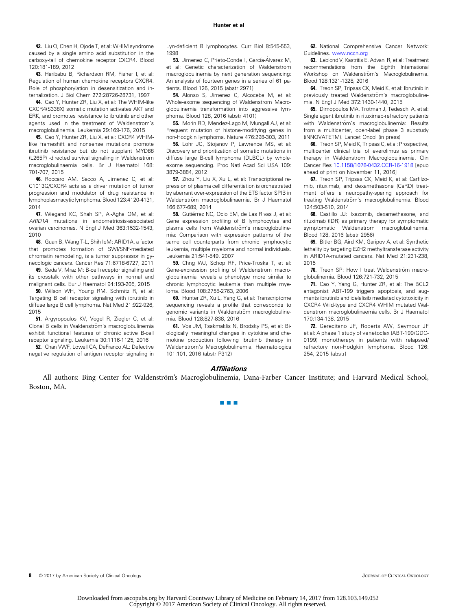<span id="page-7-0"></span>42. Liu Q, Chen H, Ojode T, et al: WHIM syndrome caused by a single amino acid substitution in the carboxy-tail of chemokine receptor CXCR4. Blood 120:181-189, 2012

43. Haribabu B, Richardson RM, Fisher I, et al: Regulation of human chemokine receptors CXCR4. Role of phosphorylation in desensitization and internalization. J Biol Chem 272:28726-28731, 1997

44. Cao Y, Hunter ZR, Liu X, et al: The WHIM-like CXCR4(S338X) somatic mutation activates AKT and ERK, and promotes resistance to ibrutinib and other agents used in the treatment of Waldenstrom's macroglobulinemia. Leukemia 29:169-176, 2015

45. Cao Y, Hunter ZR, Liu X, et al: CXCR4 WHIMlike frameshift and nonsense mutations promote ibrutinib resistance but do not supplant MYD88 (L265P) -directed survival signalling in Waldenström macroglobulinaemia cells. Br J Haematol 168: 701-707, 2015

46. Roccaro AM, Sacco A, Jimenez C, et al: C1013G/CXCR4 acts as a driver mutation of tumor progression and modulator of drug resistance in lymphoplasmacytic lymphoma. Blood 123:4120-4131, 2014

47. Wiegand KC, Shah SP, Al-Agha OM, et al:<br>ARID1A mutations in endometriosis-associated ARID1A mutations in endometriosis-associated ovarian carcinomas. N Engl J Med 363:1532-1543, 2010

48. Guan B, Wang T-L, Shih IeM: ARID1A, a factor that promotes formation of SWI/SNF-mediated chromatin remodeling, is a tumor suppressor in gynecologic cancers. Cancer Res 71:6718-6727, 2011

49. Seda V, Mraz M: B-cell receptor signalling and its crosstalk with other pathways in normal and malignant cells. Eur J Haematol 94:193-205, 2015

50. Wilson WH, Young RM, Schmitz R, et al: Targeting B cell receptor signaling with ibrutinib in diffuse large B cell lymphoma. Nat Med 21:922-926, 2015

51. Argyropoulos KV, Vogel R, Ziegler C, et al: Clonal B cells in Waldenström's macroglobulinemia exhibit functional features of chronic active B-cell receptor signaling. Leukemia 30:1116-1125, 2016

**52.** Chan VWF, Lowell CA, DeFranco AL: Defective regulation of antigen receptor signaling in

Lyn-deficient B lymphocytes. Curr Biol 8:545-553, 1998

53. Jimenez C, Prieto-Conde I, García-Álvarez M, et al: Genetic characterization of Waldenstrom macroglobulinemia by next generation sequencing: An analysis of fourteen genes in a series of 61 patients. Blood 126, 2015 (abstr 2971)

54. Alonso S, Jimenez C, Alcoceba M, et al: Whole-exome sequencing of Waldenstrom Macroglobulinemia transformation into aggressive lymphoma. Blood 128, 2016 (abstr 4101)

55. Morin RD, Mendez-Lago M, Mungall AJ, et al: Frequent mutation of histone-modifying genes in non-Hodgkin lymphoma. Nature 476:298-303, 2011

56. Lohr JG, Stojanov P, Lawrence MS, et al: Discovery and prioritization of somatic mutations in diffuse large B-cell lymphoma (DLBCL) by wholeexome sequencing. Proc Natl Acad Sci USA 109: 3879-3884, 2012

57. Zhou Y, Liu X, Xu L, et al: Transcriptional repression of plasma cell differentiation is orchestrated by aberrant over-expression of the ETS factor SPIB in Waldenström macroglobulinaemia. Br J Haematol 166:677-689, 2014

58. Gutiérrez NC, Ocio EM, de Las Rivas J, et al: Gene expression profiling of B lymphocytes and plasma cells from Waldenström's macroglobulinemia: Comparison with expression patterns of the same cell counterparts from chronic lymphocytic leukemia, multiple myeloma and normal individuals. Leukemia 21:541-549, 2007

59. Chng WJ, Schop RF, Price-Troska T, et al: Gene-expression profiling of Waldenstrom macroglobulinemia reveals a phenotype more similar to chronic lymphocytic leukemia than multiple myeloma. Blood 108:2755-2763, 2006

60. Hunter ZR, Xu L, Yang G, et al: Transcriptome sequencing reveals a profile that corresponds to genomic variants in Waldenström macroglobulinemia. Blood 128:827-838, 2016

61. Vos JM, Tsakmaklis N, Brodsky PS, et al: Biologically meaningful changes in cytokine and chemokine production following Ibrutinib therapy in Waldenstrom's Macroglobulinemia. Haematologica 101:101, 2016 (abstr P312)

#### **Affiliations**

All authors: Bing Center for Waldenström's Macroglobulinemia, Dana-Farber Cancer Institute; and Harvard Medical School, Boston, MA.

nnn

**62.** National Comprehensive Cancer Network: Guidelines. [www.nccn.org](http://www.nccn.org)

63. Leblond V, Kastritis E, Advani R, et al: Treatment recommendations from the Eighth International Workshop on Waldenström's Macroglobulinemia. Blood 128:1321-1328, 2016

64. Treon SP, Tripsas CK, Meid K, et al: Ibrutinib in previously treated Waldenström's macroglobulinemia. N Engl J Med 372:1430-1440, 2015

65. Dimopoulos MA, Trotman J, Tedeschi A, et al: Single agent ibrutinib in rituximab-refractory patients with Waldenström's macroglobulinemia: Results from a multicenter, open-label phase 3 substudy (iNNOVATETM). Lancet Oncol (in press)

66. Treon SP, Meid K, Tripsas C, et al: Prospective, multicenter clinical trial of everolimus as primary therapy in Waldenstrom Macroglobulinemia. Clin Cancer Res [10.1158/1078-0432.CCR-16-1918](http://dx.doi.org/10.1158/1078-0432.CCR-16-1918) [epub ahead of print on November 11, 2016]

67. Treon SP, Tripsas CK, Meid K, et al: Carfilzomib, rituximab, and dexamethasone (CaRD) treatment offers a neuropathy-sparing approach for treating Waldenström's macroglobulinemia. Blood 124:503-510, 2014

68. Castillo JJ: Ixazomib, dexamethasone, and rituximab (IDR) as primary therapy for symptomatic symptomatic Waldenstrom macroglobulinemia. Blood 128, 2016 (abstr 2956)

69. Bitler BG, Aird KM, Garipov A, et al: Synthetic lethality by targeting EZH2 methyltransferase activity in ARID1A-mutated cancers. Nat Med 21:231-238, 2015

70. Treon SP: How I treat Waldenström macroglobulinemia. Blood 126:721-732, 2015

71. Cao Y, Yang G, Hunter ZR, et al: The BCL2 antagonist ABT-199 triggers apoptosis, and augments ibrutinib and idelalisib mediated cytotoxicity in CXCR4 Wild-type and CXCR4 WHIM mutated Waldenstrom macroglobulinaemia cells. Br J Haematol 170:134-138, 2015

72. Gerecitano JF, Roberts AW, Seymour JF et al: A phase 1 study of venetoclax (ABT-199/GDC-0199) monotherapy in patients with relapsed/ refractory non-Hodgkin lymphoma. Blood 126: 254, 2015 (abstr)